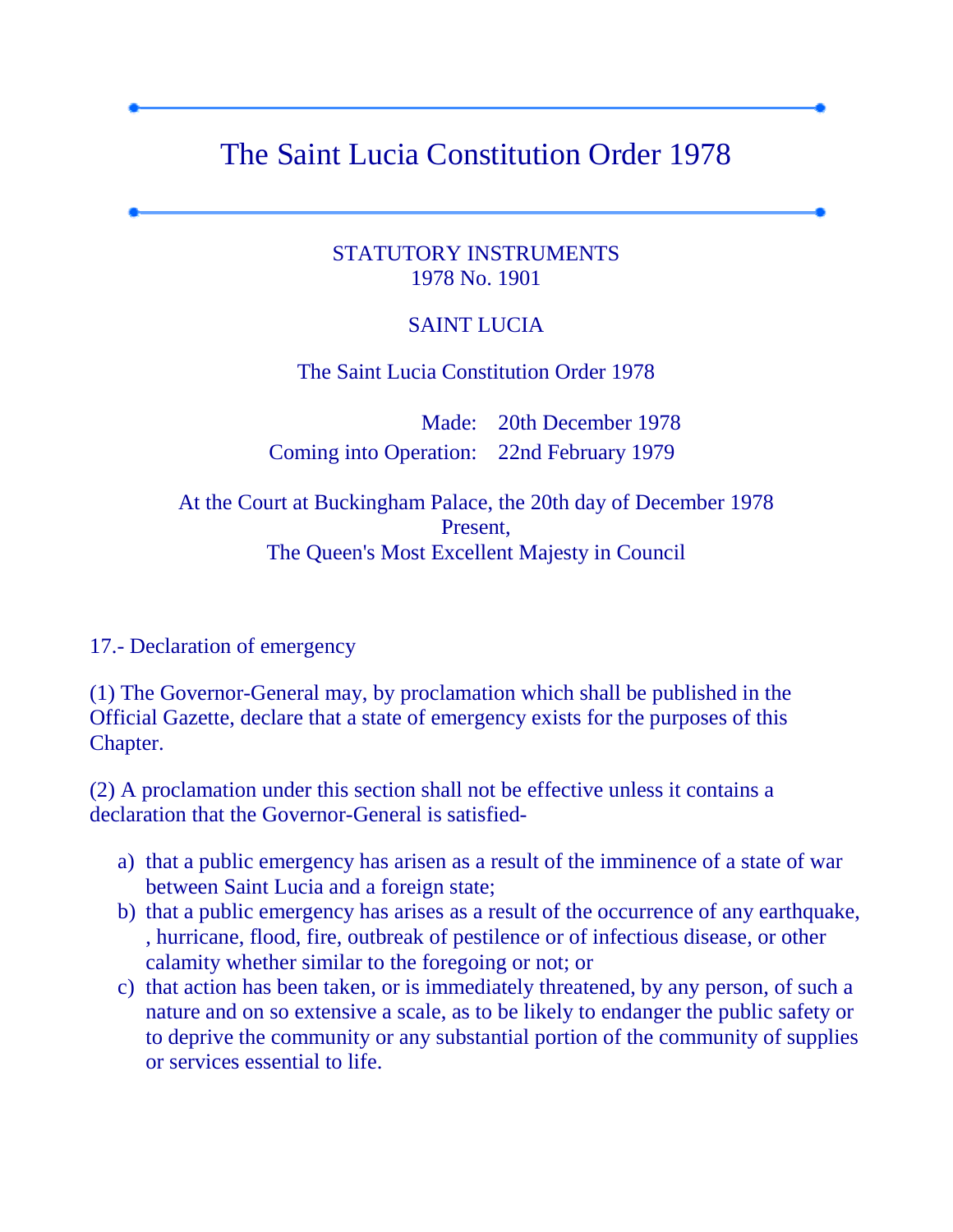## The Saint Lucia Constitution Order 1978

## STATUTORY INSTRUMENTS 1978 No. 1901

## SAINT LUCIA

The Saint Lucia Constitution Order 1978

Made: 20th December 1978 Coming into Operation: 22nd February 1979

At the Court at Buckingham Palace, the 20th day of December 1978 Present, The Queen's Most Excellent Majesty in Council

17.- Declaration of emergency

(1) The Governor-General may, by proclamation which shall be published in the Official Gazette, declare that a state of emergency exists for the purposes of this Chapter.

(2) A proclamation under this section shall not be effective unless it contains a declaration that the Governor-General is satisfied-

- a) that a public emergency has arisen as a result of the imminence of a state of war between Saint Lucia and a foreign state;
- b) that a public emergency has arises as a result of the occurrence of any earthquake, , hurricane, flood, fire, outbreak of pestilence or of infectious disease, or other calamity whether similar to the foregoing or not; or
- c) that action has been taken, or is immediately threatened, by any person, of such a nature and on so extensive a scale, as to be likely to endanger the public safety or to deprive the community or any substantial portion of the community of supplies or services essential to life.